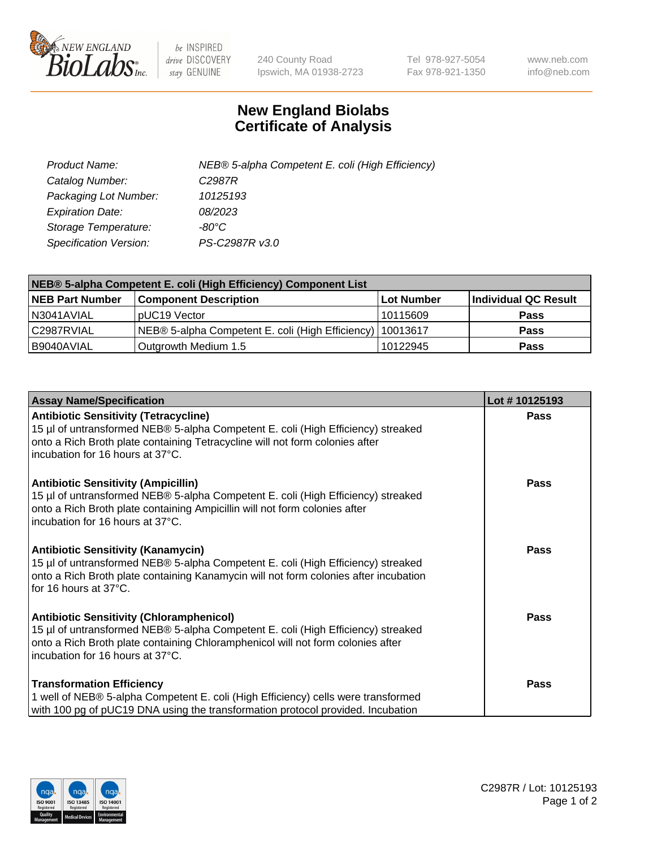

 $be$  INSPIRED drive DISCOVERY stay GENUINE

240 County Road Ipswich, MA 01938-2723 Tel 978-927-5054 Fax 978-921-1350 www.neb.com info@neb.com

## **New England Biolabs Certificate of Analysis**

| Product Name:                 | NEB® 5-alpha Competent E. coli (High Efficiency) |
|-------------------------------|--------------------------------------------------|
| Catalog Number:               | C <sub>2987</sub> R                              |
| Packaging Lot Number:         | 10125193                                         |
| <b>Expiration Date:</b>       | 08/2023                                          |
| Storage Temperature:          | -80°C                                            |
| <b>Specification Version:</b> | PS-C2987R v3.0                                   |

| NEB® 5-alpha Competent E. coli (High Efficiency) Component List |                                                             |            |                      |  |
|-----------------------------------------------------------------|-------------------------------------------------------------|------------|----------------------|--|
| <b>NEB Part Number</b>                                          | <b>Component Description</b>                                | Lot Number | Individual QC Result |  |
| N3041AVIAL                                                      | pUC19 Vector                                                | 10115609   | <b>Pass</b>          |  |
| C2987RVIAL                                                      | NEB® 5-alpha Competent E. coli (High Efficiency)   10013617 |            | <b>Pass</b>          |  |
| B9040AVIAL                                                      | Outgrowth Medium 1.5                                        | 10122945   | <b>Pass</b>          |  |

| <b>Assay Name/Specification</b>                                                                                                                                                                                                                            | Lot #10125193 |
|------------------------------------------------------------------------------------------------------------------------------------------------------------------------------------------------------------------------------------------------------------|---------------|
| <b>Antibiotic Sensitivity (Tetracycline)</b><br>15 µl of untransformed NEB® 5-alpha Competent E. coli (High Efficiency) streaked<br>onto a Rich Broth plate containing Tetracycline will not form colonies after<br>incubation for 16 hours at 37°C.       | Pass          |
| <b>Antibiotic Sensitivity (Ampicillin)</b><br>15 µl of untransformed NEB® 5-alpha Competent E. coli (High Efficiency) streaked<br>onto a Rich Broth plate containing Ampicillin will not form colonies after<br>incubation for 16 hours at 37°C.           | <b>Pass</b>   |
| Antibiotic Sensitivity (Kanamycin)<br>15 µl of untransformed NEB® 5-alpha Competent E. coli (High Efficiency) streaked<br>onto a Rich Broth plate containing Kanamycin will not form colonies after incubation<br>for 16 hours at 37°C.                    | Pass          |
| <b>Antibiotic Sensitivity (Chloramphenicol)</b><br>15 µl of untransformed NEB® 5-alpha Competent E. coli (High Efficiency) streaked<br>onto a Rich Broth plate containing Chloramphenicol will not form colonies after<br>incubation for 16 hours at 37°C. | <b>Pass</b>   |
| <b>Transformation Efficiency</b><br>1 well of NEB® 5-alpha Competent E. coli (High Efficiency) cells were transformed<br>with 100 pg of pUC19 DNA using the transformation protocol provided. Incubation                                                   | Pass          |